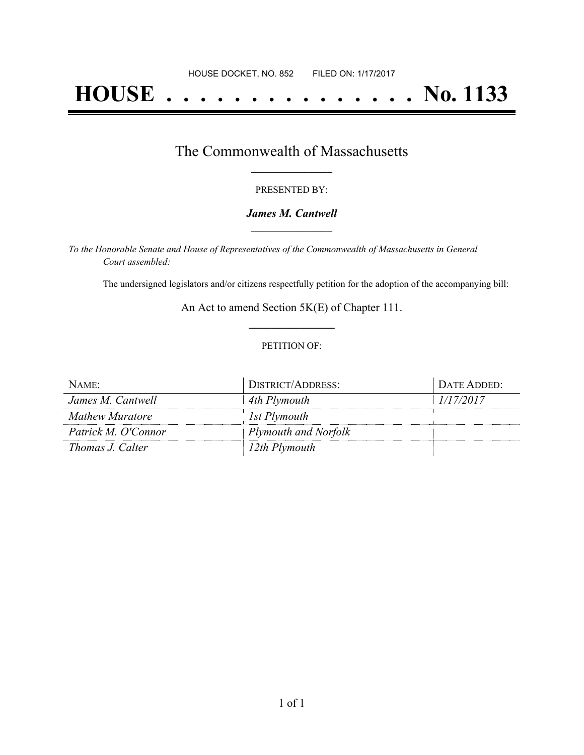# **HOUSE . . . . . . . . . . . . . . . No. 1133**

## The Commonwealth of Massachusetts **\_\_\_\_\_\_\_\_\_\_\_\_\_\_\_\_\_**

#### PRESENTED BY:

#### *James M. Cantwell* **\_\_\_\_\_\_\_\_\_\_\_\_\_\_\_\_\_**

*To the Honorable Senate and House of Representatives of the Commonwealth of Massachusetts in General Court assembled:*

The undersigned legislators and/or citizens respectfully petition for the adoption of the accompanying bill:

An Act to amend Section 5K(E) of Chapter 111. **\_\_\_\_\_\_\_\_\_\_\_\_\_\_\_**

#### PETITION OF:

| NAME:               | DISTRICT/ADDRESS:    | DATE ADDED: |
|---------------------|----------------------|-------------|
| James M. Cantwell   | 4th Plymouth         | 1/17/2017   |
| Mathew Muratore     | 1st Plymouth         |             |
| Patrick M. O'Connor | Plymouth and Norfolk |             |
| Thomas J. Calter    | 12th Plymouth        |             |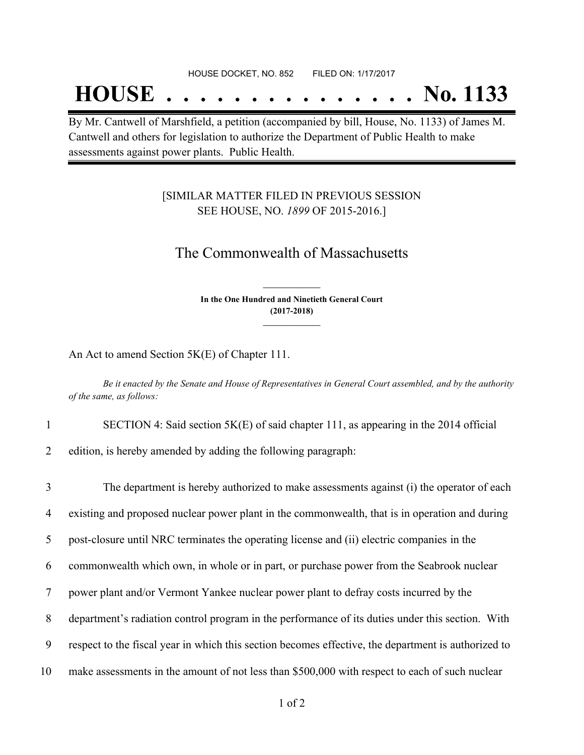## **HOUSE . . . . . . . . . . . . . . . No. 1133**

By Mr. Cantwell of Marshfield, a petition (accompanied by bill, House, No. 1133) of James M. Cantwell and others for legislation to authorize the Department of Public Health to make assessments against power plants. Public Health.

### [SIMILAR MATTER FILED IN PREVIOUS SESSION SEE HOUSE, NO. *1899* OF 2015-2016.]

## The Commonwealth of Massachusetts

**In the One Hundred and Ninetieth General Court (2017-2018) \_\_\_\_\_\_\_\_\_\_\_\_\_\_\_**

**\_\_\_\_\_\_\_\_\_\_\_\_\_\_\_**

An Act to amend Section 5K(E) of Chapter 111.

Be it enacted by the Senate and House of Representatives in General Court assembled, and by the authority *of the same, as follows:*

1 SECTION 4: Said section 5K(E) of said chapter 111, as appearing in the 2014 official

2 edition, is hereby amended by adding the following paragraph:

 The department is hereby authorized to make assessments against (i) the operator of each existing and proposed nuclear power plant in the commonwealth, that is in operation and during post-closure until NRC terminates the operating license and (ii) electric companies in the commonwealth which own, in whole or in part, or purchase power from the Seabrook nuclear power plant and/or Vermont Yankee nuclear power plant to defray costs incurred by the department's radiation control program in the performance of its duties under this section. With respect to the fiscal year in which this section becomes effective, the department is authorized to make assessments in the amount of not less than \$500,000 with respect to each of such nuclear